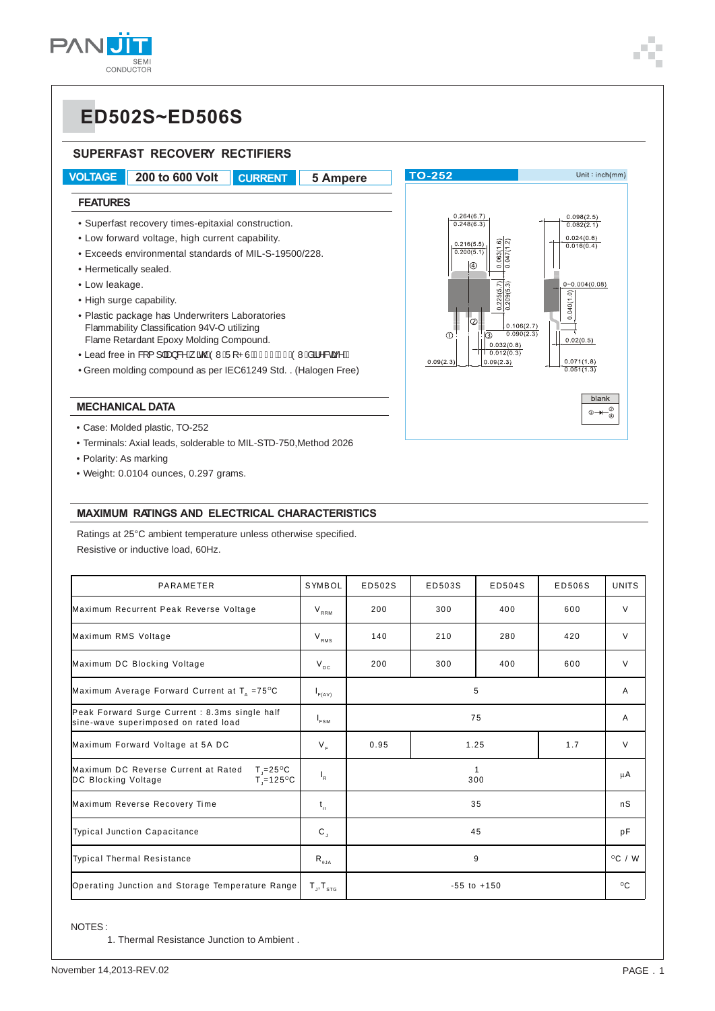

## **ED502S~ED506S**

### **SUPERFAST RECOVERY RECTIFIERS**

**VOLTAGE 200 to 600 Volt CURRENT 5 Ampere**

### **FEATURES**

- Superfast recovery times-epitaxial construction.
- Low forward voltage, high current capability.
- Exceeds environmental standards of MIL-S-19500/228.
- Hermetically sealed.
- Low leakage.
- High surge capability.
- Plastic package has Underwriters Laboratories Flammability Classification 94V-O utilizing Flame Retardant Epoxy Molding Compound.
- Lead free in & [ ] as & A analogic PUAGEFFB I BOWA an & a man &
- Green molding compound as per IEC61249 Std. . (Halogen Free)

#### **MECHANICAL DATA**

- Case: Molded plastic, TO-252
- Terminals: Axial leads, solderable to MIL-STD-750,Method 2026
- Polarity: As marking
- Weight: 0.0104 ounces, 0.297 grams.

#### **MAXIMUM RATINGS AND ELECTRICAL CHARACTERISTICS**

Ratings at 25°C ambient temperature unless otherwise specified. Resistive or inductive load, 60Hz.

| PARAMETER                                                                                                            | SYMBOL                    | ED502S          | ED503S      | ED504S | ED506S | <b>UNITS</b>     |
|----------------------------------------------------------------------------------------------------------------------|---------------------------|-----------------|-------------|--------|--------|------------------|
| Maximum Recurrent Peak Reverse Voltage                                                                               | $V_{RRM}$                 | 200             | 300         | 400    | 600    | V                |
| Maximum RMS Voltage                                                                                                  | $V_{RMS}$                 | 140             | 210         | 280    | 420    | $\vee$           |
| Maximum DC Blocking Voltage                                                                                          | $V_{\text{p}c}$           | 200             | 300         | 400    | 600    | $\vee$           |
| Maximum Average Forward Current at $T_a = 75^{\circ}C$                                                               | $I_{F(AV)}$               | 5               |             |        |        | A                |
| Peak Forward Surge Current : 8.3ms single half<br>sine-wave superimposed on rated load                               | $I_{FSM}$                 | 75              |             |        |        | A                |
| Maximum Forward Voltage at 5A DC                                                                                     | $V_F$                     | 0.95            | 1.25<br>1.7 |        |        | V                |
| $T_{\rm j}$ =25 $\rm ^{\circ}$ C<br>Maximum DC Reverse Current at Rated<br>$T = 125^{\circ}C$<br>DC Blocking Voltage | $\mathsf{I}_{\mathsf{R}}$ | 1<br>300        |             |        |        | μA               |
| Maximum Reverse Recovery Time                                                                                        | $t_{rr}$                  | 35              |             |        |        | nS               |
| <b>Typical Junction Capacitance</b>                                                                                  | $C_{1}$                   | 45              |             |        |        | pF               |
| <b>Typical Thermal Resistance</b>                                                                                    | $R_{\text{a,IA}}$         | 9               |             |        |        | $^{\circ}$ C / W |
| Operating Junction and Storage Temperature Range                                                                     | $T_{J}$ , $T_{STG}$       | $-55$ to $+150$ |             |        |        | °C               |

#### NOTES :

1. Thermal Resistance Junction to Ambient .

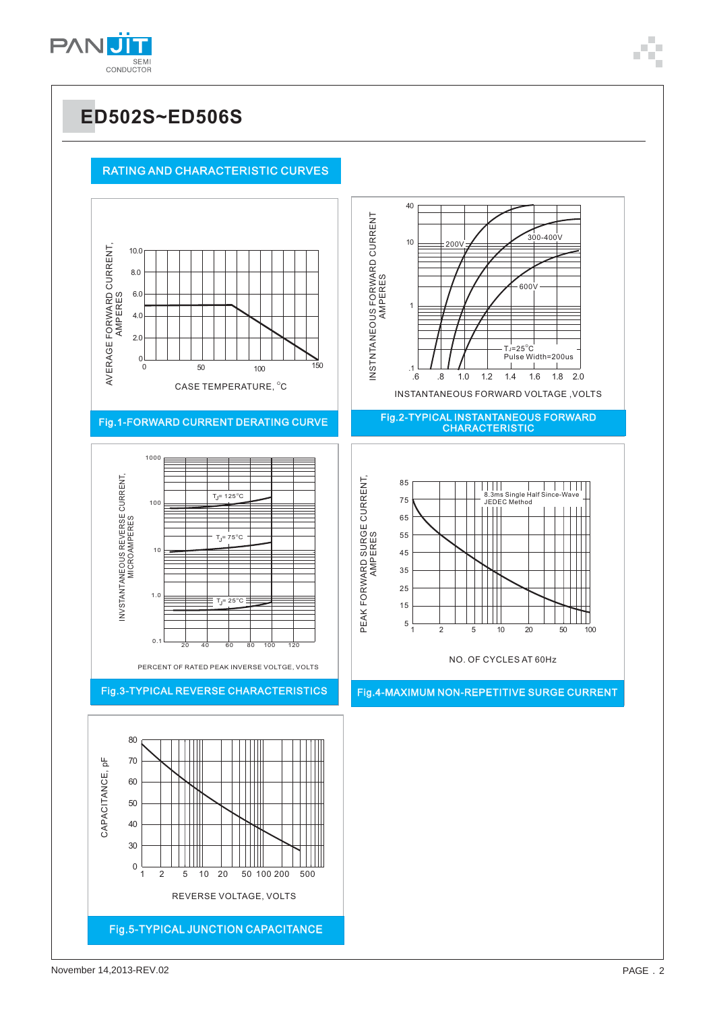

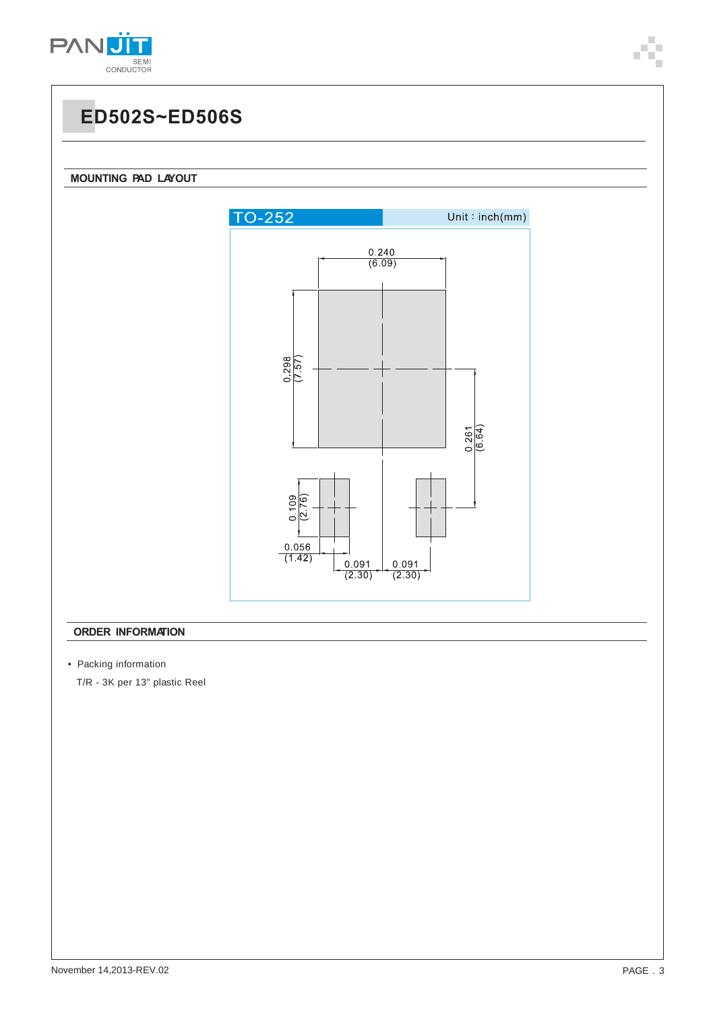

# **ED502S~ED506S**

### **MOUNTING PAD LAYOUT**



### **ORDER INFORMATION**

• Packing information

T/R - 3K per 13" plastic Reel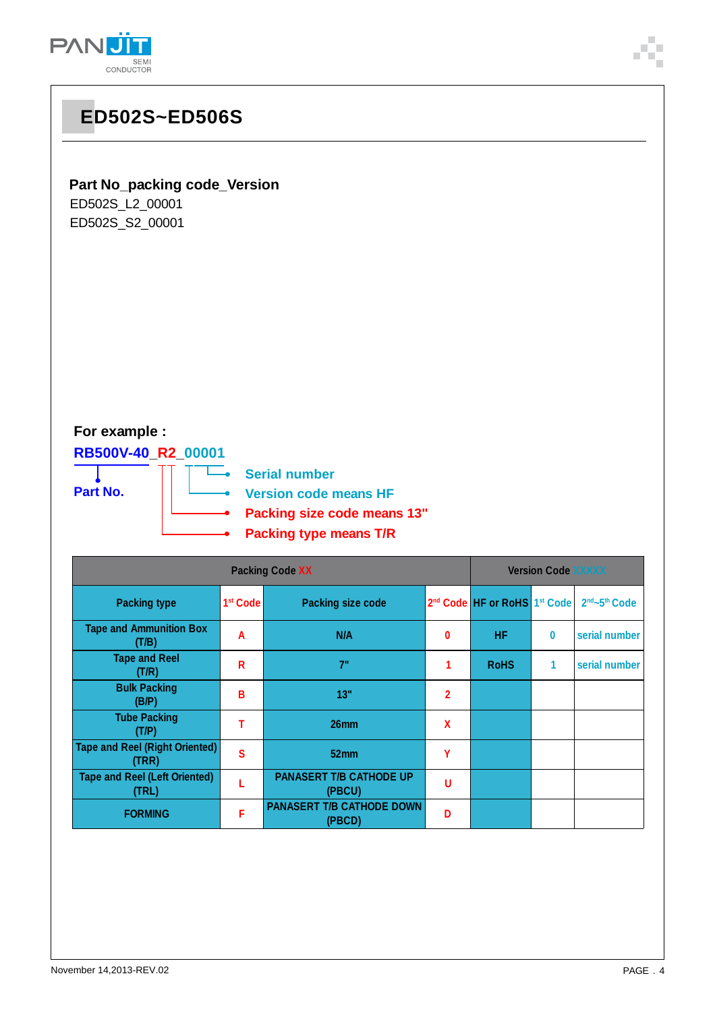

# **ED502S~ED506S Part No\_packing code\_Version** ED502S\_L2\_00001 ED502S\_S2\_00001 **For example : RB500V-40\_R2\_00001** T. **Serial number Part No. Version code means HF Packing size code means 13" Packing type means T/R Packing Code XX Version Code Packing type 1st Code Packing size code** 2nd Code **HF or RoHS** 1st Code 2nd Sth Code **Tape and Ammunition Box (T/B) <sup>A</sup> N/A <sup>0</sup> HF 0 serial number Tape and Reel (T/R) <sup>R</sup> 7" <sup>1</sup> RoHS 1 serial number Bulk Packing (B/P) <sup>B</sup> 13" <sup>2</sup> Tube Packing (T/P) <sup>T</sup> 26mm <sup>X</sup> Tape and Reel (Right Oriented) (TRR) <sup>S</sup> 52mm <sup>Y</sup> Tape and Reel (Left Oriented) (TRL) <sup>L</sup> PANASERT T/B CATHODE UP (PBCU) <sup>U</sup>**

**(PBCD) <sup>D</sup>**

**F PANASERT T/B CATHODE DOWN**